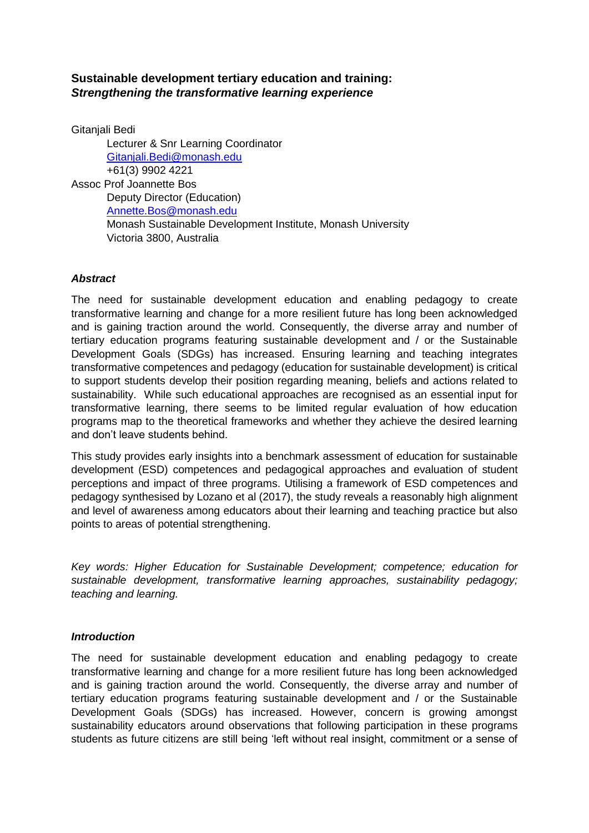# **Sustainable development tertiary education and training:**  *Strengthening the transformative learning experience*

Gitaniali Bedi Lecturer & Snr Learning Coordinator [Gitanjali.Bedi@monash.edu](mailto:Gitanjali.Bedi@monash.edu) +61(3) 9902 4221 Assoc Prof Joannette Bos Deputy Director (Education) [Annette.Bos@monash.edu](mailto:Annette.Bos@monash.edu) Monash Sustainable Development Institute, Monash University Victoria 3800, Australia

# *Abstract*

The need for sustainable development education and enabling pedagogy to create transformative learning and change for a more resilient future has long been acknowledged and is gaining traction around the world. Consequently, the diverse array and number of tertiary education programs featuring sustainable development and / or the Sustainable Development Goals (SDGs) has increased. Ensuring learning and teaching integrates transformative competences and pedagogy (education for sustainable development) is critical to support students develop their position regarding meaning, beliefs and actions related to sustainability. While such educational approaches are recognised as an essential input for transformative learning, there seems to be limited regular evaluation of how education programs map to the theoretical frameworks and whether they achieve the desired learning and don't leave students behind.

This study provides early insights into a benchmark assessment of education for sustainable development (ESD) competences and pedagogical approaches and evaluation of student perceptions and impact of three programs. Utilising a framework of ESD competences and pedagogy synthesised by Lozano et al (2017), the study reveals a reasonably high alignment and level of awareness among educators about their learning and teaching practice but also points to areas of potential strengthening.

*Key words: Higher Education for Sustainable Development; competence; education for sustainable development, transformative learning approaches, sustainability pedagogy; teaching and learning.*

## *Introduction*

The need for sustainable development education and enabling pedagogy to create transformative learning and change for a more resilient future has long been acknowledged and is gaining traction around the world. Consequently, the diverse array and number of tertiary education programs featuring sustainable development and / or the Sustainable Development Goals (SDGs) has increased. However, concern is growing amongst sustainability educators around observations that following participation in these programs students as future citizens are still being 'left without real insight, commitment or a sense of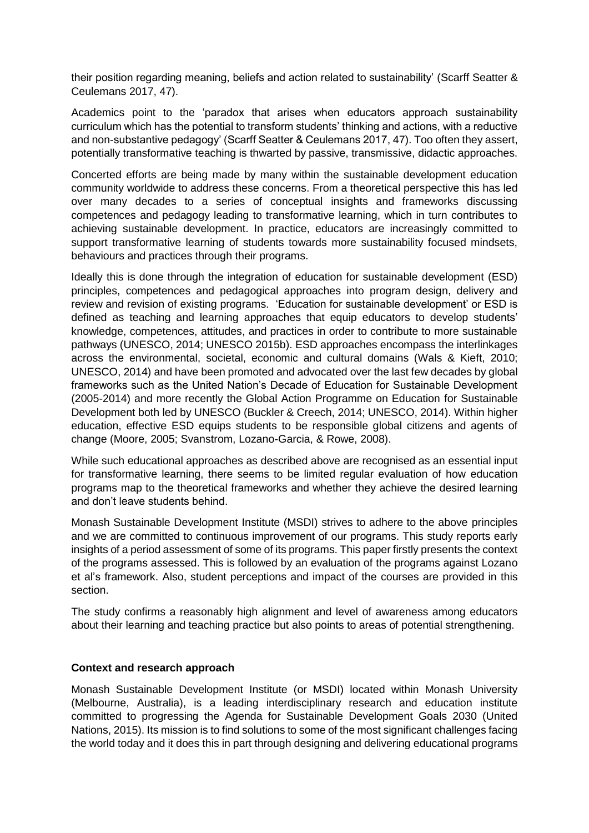their position regarding meaning, beliefs and action related to sustainability' (Scarff Seatter & Ceulemans 2017, 47).

Academics point to the 'paradox that arises when educators approach sustainability curriculum which has the potential to transform students' thinking and actions, with a reductive and non-substantive pedagogy' (Scarff Seatter & Ceulemans 2017, 47). Too often they assert, potentially transformative teaching is thwarted by passive, transmissive, didactic approaches.

Concerted efforts are being made by many within the sustainable development education community worldwide to address these concerns. From a theoretical perspective this has led over many decades to a series of conceptual insights and frameworks discussing competences and pedagogy leading to transformative learning, which in turn contributes to achieving sustainable development. In practice, educators are increasingly committed to support transformative learning of students towards more sustainability focused mindsets, behaviours and practices through their programs.

Ideally this is done through the integration of education for sustainable development (ESD) principles, competences and pedagogical approaches into program design, delivery and review and revision of existing programs. 'Education for sustainable development' or ESD is defined as teaching and learning approaches that equip educators to develop students' knowledge, competences, attitudes, and practices in order to contribute to more sustainable pathways (UNESCO, 2014; UNESCO 2015b). ESD approaches encompass the interlinkages across the environmental, societal, economic and cultural domains (Wals & Kieft, 2010; UNESCO, 2014) and have been promoted and advocated over the last few decades by global frameworks such as the United Nation's Decade of Education for Sustainable Development (2005-2014) and more recently the Global Action Programme on Education for Sustainable Development both led by UNESCO (Buckler & Creech, 2014; UNESCO, 2014). Within higher education, effective ESD equips students to be responsible global citizens and agents of change (Moore, 2005; Svanstrom, Lozano-Garcia, & Rowe, 2008).

While such educational approaches as described above are recognised as an essential input for transformative learning, there seems to be limited regular evaluation of how education programs map to the theoretical frameworks and whether they achieve the desired learning and don't leave students behind.

Monash Sustainable Development Institute (MSDI) strives to adhere to the above principles and we are committed to continuous improvement of our programs. This study reports early insights of a period assessment of some of its programs. This paper firstly presents the context of the programs assessed. This is followed by an evaluation of the programs against Lozano et al's framework. Also, student perceptions and impact of the courses are provided in this section.

The study confirms a reasonably high alignment and level of awareness among educators about their learning and teaching practice but also points to areas of potential strengthening.

## **Context and research approach**

Monash Sustainable Development Institute (or MSDI) located within Monash University (Melbourne, Australia), is a leading interdisciplinary research and education institute committed to progressing the Agenda for Sustainable Development Goals 2030 (United Nations, 2015). Its mission is to find solutions to some of the most significant challenges facing the world today and it does this in part through designing and delivering educational programs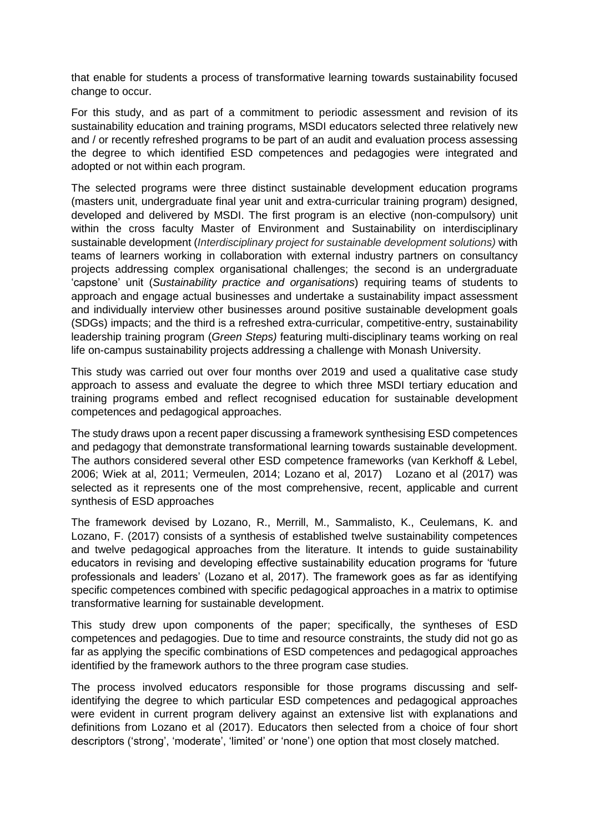that enable for students a process of transformative learning towards sustainability focused change to occur.

For this study, and as part of a commitment to periodic assessment and revision of its sustainability education and training programs, MSDI educators selected three relatively new and / or recently refreshed programs to be part of an audit and evaluation process assessing the degree to which identified ESD competences and pedagogies were integrated and adopted or not within each program.

The selected programs were three distinct sustainable development education programs (masters unit, undergraduate final year unit and extra-curricular training program) designed, developed and delivered by MSDI. The first program is an elective (non-compulsory) unit within the cross faculty Master of Environment and Sustainability on interdisciplinary sustainable development (*Interdisciplinary project for sustainable development solutions)* with teams of learners working in collaboration with external industry partners on consultancy projects addressing complex organisational challenges; the second is an undergraduate 'capstone' unit (*Sustainability practice and organisations*) requiring teams of students to approach and engage actual businesses and undertake a sustainability impact assessment and individually interview other businesses around positive sustainable development goals (SDGs) impacts; and the third is a refreshed extra-curricular, competitive-entry, sustainability leadership training program (*Green Steps)* featuring multi-disciplinary teams working on real life on-campus sustainability projects addressing a challenge with Monash University.

This study was carried out over four months over 2019 and used a qualitative case study approach to assess and evaluate the degree to which three MSDI tertiary education and training programs embed and reflect recognised education for sustainable development competences and pedagogical approaches.

The study draws upon a recent paper discussing a framework synthesising ESD competences and pedagogy that demonstrate transformational learning towards sustainable development. The authors considered several other ESD competence frameworks (van Kerkhoff & Lebel, 2006; Wiek at al, 2011; Vermeulen, 2014; Lozano et al, 2017) Lozano et al (2017) was selected as it represents one of the most comprehensive, recent, applicable and current synthesis of ESD approaches

The framework devised by Lozano, R., Merrill, M., Sammalisto, K., Ceulemans, K. and Lozano, F. (2017) consists of a synthesis of established twelve sustainability competences and twelve pedagogical approaches from the literature. It intends to guide sustainability educators in revising and developing effective sustainability education programs for 'future professionals and leaders' (Lozano et al, 2017). The framework goes as far as identifying specific competences combined with specific pedagogical approaches in a matrix to optimise transformative learning for sustainable development.

This study drew upon components of the paper; specifically, the syntheses of ESD competences and pedagogies. Due to time and resource constraints, the study did not go as far as applying the specific combinations of ESD competences and pedagogical approaches identified by the framework authors to the three program case studies.

The process involved educators responsible for those programs discussing and selfidentifying the degree to which particular ESD competences and pedagogical approaches were evident in current program delivery against an extensive list with explanations and definitions from Lozano et al (2017). Educators then selected from a choice of four short descriptors ('strong', 'moderate', 'limited' or 'none') one option that most closely matched.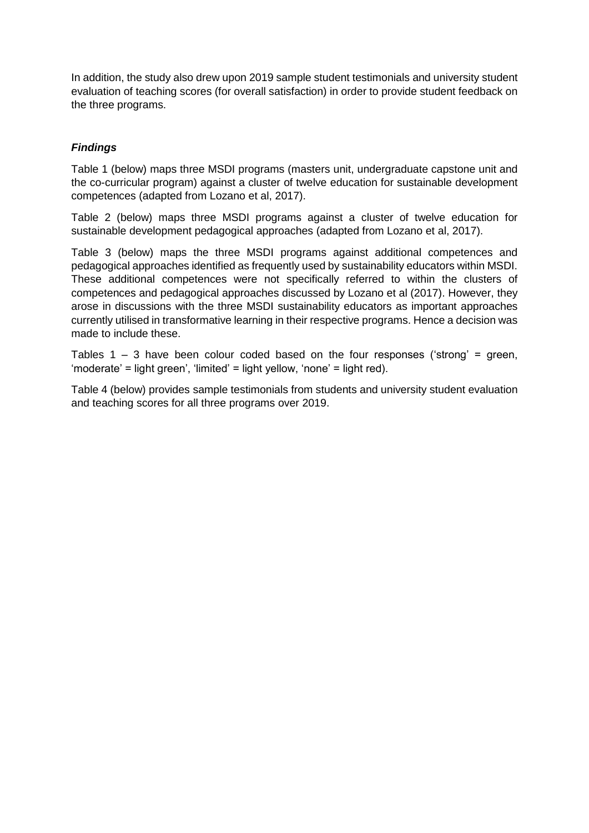In addition, the study also drew upon 2019 sample student testimonials and university student evaluation of teaching scores (for overall satisfaction) in order to provide student feedback on the three programs.

# *Findings*

Table 1 (below) maps three MSDI programs (masters unit, undergraduate capstone unit and the co-curricular program) against a cluster of twelve education for sustainable development competences (adapted from Lozano et al, 2017).

Table 2 (below) maps three MSDI programs against a cluster of twelve education for sustainable development pedagogical approaches (adapted from Lozano et al, 2017).

Table 3 (below) maps the three MSDI programs against additional competences and pedagogical approaches identified as frequently used by sustainability educators within MSDI. These additional competences were not specifically referred to within the clusters of competences and pedagogical approaches discussed by Lozano et al (2017). However, they arose in discussions with the three MSDI sustainability educators as important approaches currently utilised in transformative learning in their respective programs. Hence a decision was made to include these.

Tables  $1 - 3$  have been colour coded based on the four responses ('strong' = green, 'moderate' = light green', 'limited' = light yellow, 'none' = light red).

Table 4 (below) provides sample testimonials from students and university student evaluation and teaching scores for all three programs over 2019.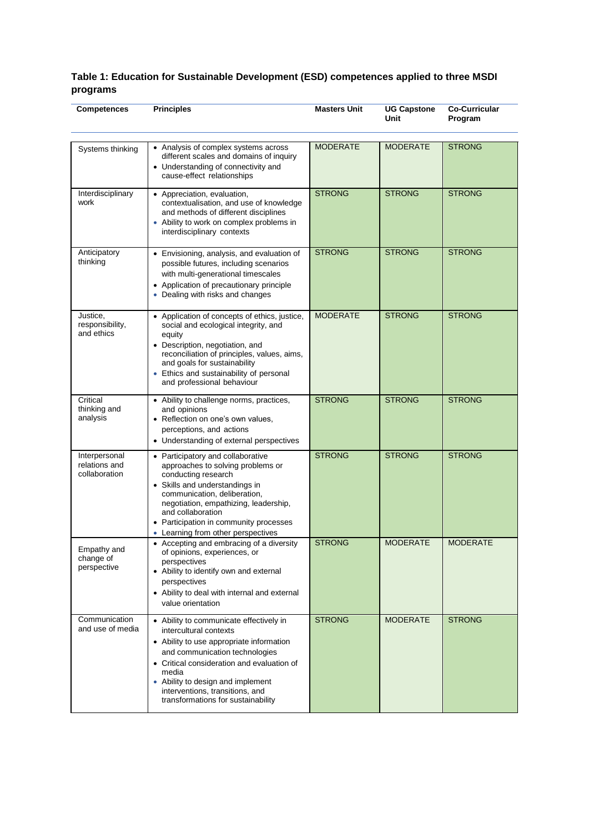#### **Table 1: Education for Sustainable Development (ESD) competences applied to three MSDI programs**

| <b>Competences</b>                              | <b>Principles</b>                                                                                                                                                                                                                                                                                                    | <b>Masters Unit</b> | <b>UG Capstone</b><br><b>Unit</b> | <b>Co-Curricular</b><br>Program |
|-------------------------------------------------|----------------------------------------------------------------------------------------------------------------------------------------------------------------------------------------------------------------------------------------------------------------------------------------------------------------------|---------------------|-----------------------------------|---------------------------------|
| Systems thinking                                | • Analysis of complex systems across<br>different scales and domains of inquiry<br>• Understanding of connectivity and<br>cause-effect relationships                                                                                                                                                                 | <b>MODERATE</b>     | <b>MODERATE</b>                   | <b>STRONG</b>                   |
| Interdisciplinary<br>work                       | • Appreciation, evaluation,<br>contextualisation, and use of knowledge<br>and methods of different disciplines<br>• Ability to work on complex problems in<br>interdisciplinary contexts                                                                                                                             | <b>STRONG</b>       | <b>STRONG</b>                     | <b>STRONG</b>                   |
| Anticipatory<br>thinking                        | • Envisioning, analysis, and evaluation of<br>possible futures, including scenarios<br>with multi-generational timescales<br>• Application of precautionary principle<br>• Dealing with risks and changes                                                                                                            | <b>STRONG</b>       | <b>STRONG</b>                     | <b>STRONG</b>                   |
| Justice,<br>responsibility,<br>and ethics       | • Application of concepts of ethics, justice,<br>social and ecological integrity, and<br>equity<br>• Description, negotiation, and<br>reconciliation of principles, values, aims,<br>and goals for sustainability<br>• Ethics and sustainability of personal<br>and professional behaviour                           | <b>MODERATE</b>     | <b>STRONG</b>                     | <b>STRONG</b>                   |
| Critical<br>thinking and<br>analysis            | • Ability to challenge norms, practices,<br>and opinions<br>• Reflection on one's own values,<br>perceptions, and actions<br>• Understanding of external perspectives                                                                                                                                                | <b>STRONG</b>       | <b>STRONG</b>                     | <b>STRONG</b>                   |
| Interpersonal<br>relations and<br>collaboration | • Participatory and collaborative<br>approaches to solving problems or<br>conducting research<br>• Skills and understandings in<br>communication, deliberation,<br>negotiation, empathizing, leadership,<br>and collaboration<br>• Participation in community processes<br>• Learning from other perspectives        | <b>STRONG</b>       | <b>STRONG</b>                     | <b>STRONG</b>                   |
| Empathy and<br>change of<br>perspective         | • Accepting and embracing of a diversity<br>of opinions, experiences, or<br>perspectives<br>• Ability to identify own and external<br>perspectives<br>• Ability to deal with internal and external<br>value orientation                                                                                              | <b>STRONG</b>       | <b>MODERATE</b>                   | <b>MODERATE</b>                 |
| Communication<br>and use of media               | • Ability to communicate effectively in<br>intercultural contexts<br>• Ability to use appropriate information<br>and communication technologies<br>• Critical consideration and evaluation of<br>media<br>• Ability to design and implement<br>interventions, transitions, and<br>transformations for sustainability | <b>STRONG</b>       | <b>MODERATE</b>                   | <b>STRONG</b>                   |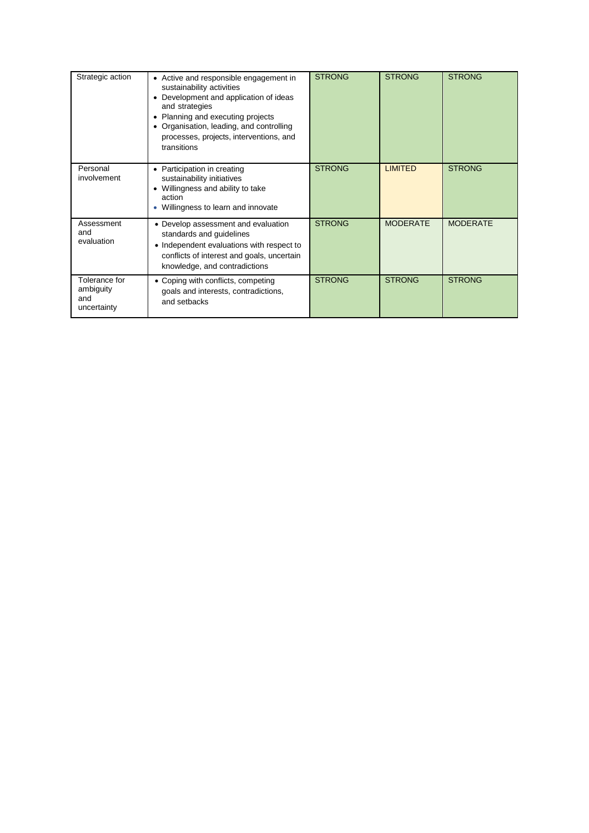| Strategic action                                 | • Active and responsible engagement in<br>sustainability activities<br>Development and application of ideas<br>and strategies<br>Planning and executing projects<br>• Organisation, leading, and controlling<br>processes, projects, interventions, and<br>transitions | <b>STRONG</b> | <b>STRONG</b>   | <b>STRONG</b>   |
|--------------------------------------------------|------------------------------------------------------------------------------------------------------------------------------------------------------------------------------------------------------------------------------------------------------------------------|---------------|-----------------|-----------------|
| Personal<br>involvement                          | • Participation in creating<br>sustainability initiatives<br>• Willingness and ability to take<br>action<br>Willingness to learn and innovate                                                                                                                          | <b>STRONG</b> | <b>LIMITED</b>  | <b>STRONG</b>   |
| Assessment<br>and<br>evaluation                  | • Develop assessment and evaluation<br>standards and guidelines<br>• Independent evaluations with respect to<br>conflicts of interest and goals, uncertain<br>knowledge, and contradictions                                                                            | <b>STRONG</b> | <b>MODERATE</b> | <b>MODERATE</b> |
| Tolerance for<br>ambiguity<br>and<br>uncertainty | • Coping with conflicts, competing<br>goals and interests, contradictions,<br>and setbacks                                                                                                                                                                             | <b>STRONG</b> | <b>STRONG</b>   | <b>STRONG</b>   |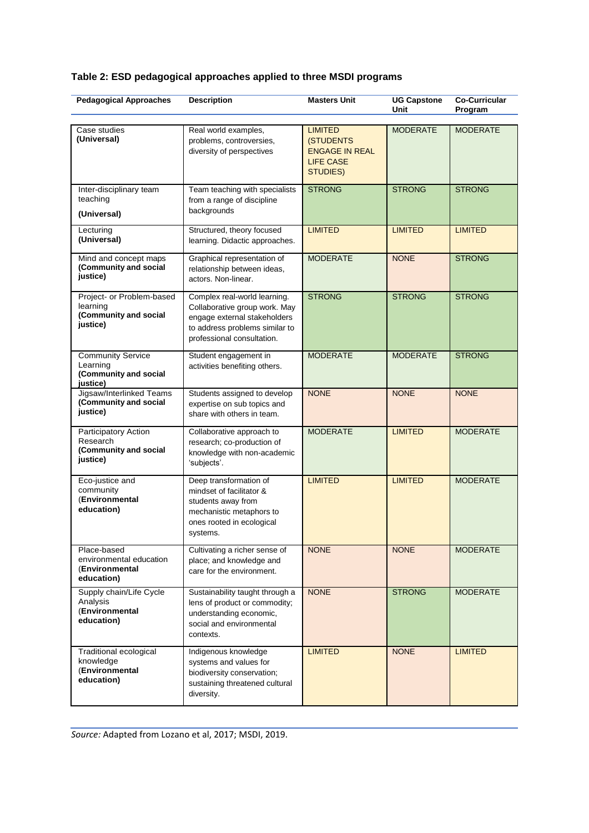# **Table 2: ESD pedagogical approaches applied to three MSDI programs**

| <b>Pedagogical Approaches</b>                                                | <b>Description</b>                                                                                                                                            | <b>Masters Unit</b>                                                                         | <b>UG Capstone</b><br>Unit | <b>Co-Curricular</b><br>Program |
|------------------------------------------------------------------------------|---------------------------------------------------------------------------------------------------------------------------------------------------------------|---------------------------------------------------------------------------------------------|----------------------------|---------------------------------|
| Case studies<br>(Universal)                                                  | Real world examples,<br>problems, controversies,<br>diversity of perspectives                                                                                 | <b>LIMITED</b><br>(STUDENTS<br><b>ENGAGE IN REAL</b><br><b>LIFE CASE</b><br><b>STUDIES)</b> | <b>MODERATE</b>            | <b>MODERATE</b>                 |
| Inter-disciplinary team<br>teaching<br>(Universal)                           | Team teaching with specialists<br>from a range of discipline<br>backgrounds                                                                                   | <b>STRONG</b>                                                                               | <b>STRONG</b>              | <b>STRONG</b>                   |
| Lecturing<br>(Universal)                                                     | Structured, theory focused<br>learning. Didactic approaches.                                                                                                  | <b>LIMITED</b>                                                                              | <b>LIMITED</b>             | <b>LIMITED</b>                  |
| Mind and concept maps<br>(Community and social<br>justice)                   | Graphical representation of<br>relationship between ideas,<br>actors. Non-linear.                                                                             | <b>MODERATE</b>                                                                             | <b>NONE</b>                | <b>STRONG</b>                   |
| Project- or Problem-based<br>learning<br>(Community and social<br>justice)   | Complex real-world learning.<br>Collaborative group work. May<br>engage external stakeholders<br>to address problems similar to<br>professional consultation. | <b>STRONG</b>                                                                               | <b>STRONG</b>              | <b>STRONG</b>                   |
| <b>Community Service</b><br>Learning<br>(Community and social<br>justice)    | Student engagement in<br>activities benefiting others.                                                                                                        | <b>MODERATE</b>                                                                             | <b>MODERATE</b>            | <b>STRONG</b>                   |
| Jigsaw/Interlinked Teams<br>(Community and social<br>justice)                | Students assigned to develop<br>expertise on sub topics and<br>share with others in team.                                                                     | <b>NONE</b>                                                                                 | <b>NONE</b>                | <b>NONE</b>                     |
| <b>Participatory Action</b><br>Research<br>(Community and social<br>justice) | Collaborative approach to<br>research; co-production of<br>knowledge with non-academic<br>'subjects'.                                                         | <b>MODERATE</b>                                                                             | <b>LIMITED</b>             | <b>MODERATE</b>                 |
| Eco-justice and<br>community<br>(Environmental<br>education)                 | Deep transformation of<br>mindset of facilitator &<br>students away from<br>mechanistic metaphors to<br>ones rooted in ecological<br>systems.                 | <b>LIMITED</b>                                                                              | <b>LIMITED</b>             | <b>MODERATE</b>                 |
| Place-based<br>environmental education<br>(Environmental<br>education)       | Cultivating a richer sense of<br>place; and knowledge and<br>care for the environment.                                                                        | <b>NONE</b>                                                                                 | <b>NONE</b>                | <b>MODERATE</b>                 |
| Supply chain/Life Cycle<br>Analysis<br>(Environmental<br>education)          | Sustainability taught through a<br>lens of product or commodity;<br>understanding economic,<br>social and environmental<br>contexts.                          | <b>NONE</b>                                                                                 | <b>STRONG</b>              | <b>MODERATE</b>                 |
| <b>Traditional ecological</b><br>knowledge<br>(Environmental<br>education)   | Indigenous knowledge<br>systems and values for<br>biodiversity conservation;<br>sustaining threatened cultural<br>diversity.                                  | <b>LIMITED</b>                                                                              | <b>NONE</b>                | <b>LIMITED</b>                  |

*Source:* Adapted from Lozano et al, 2017; MSDI, 2019.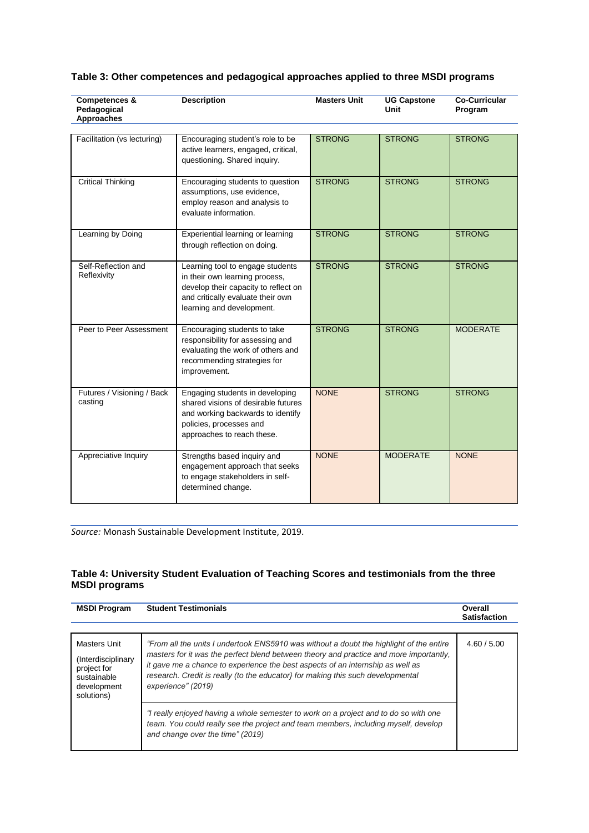| Table 3: Other competences and pedagogical approaches applied to three MSDI programs |  |  |
|--------------------------------------------------------------------------------------|--|--|
|--------------------------------------------------------------------------------------|--|--|

| <b>Competences &amp;</b><br>Pedagogical<br><b>Approaches</b> | <b>Description</b>                                                                                                                                                           | <b>Masters Unit</b> | <b>UG Capstone</b><br>Unit | <b>Co-Curricular</b><br>Program |
|--------------------------------------------------------------|------------------------------------------------------------------------------------------------------------------------------------------------------------------------------|---------------------|----------------------------|---------------------------------|
| Facilitation (vs lecturing)                                  | Encouraging student's role to be<br>active learners, engaged, critical,<br>questioning. Shared inquiry.                                                                      | <b>STRONG</b>       | <b>STRONG</b>              | <b>STRONG</b>                   |
| <b>Critical Thinking</b>                                     | Encouraging students to question<br>assumptions, use evidence,<br>employ reason and analysis to<br>evaluate information.                                                     | <b>STRONG</b>       | <b>STRONG</b>              | <b>STRONG</b>                   |
| Learning by Doing                                            | Experiential learning or learning<br>through reflection on doing.                                                                                                            | <b>STRONG</b>       | <b>STRONG</b>              | <b>STRONG</b>                   |
| Self-Reflection and<br>Reflexivity                           | Learning tool to engage students<br>in their own learning process,<br>develop their capacity to reflect on<br>and critically evaluate their own<br>learning and development. | <b>STRONG</b>       | <b>STRONG</b>              | <b>STRONG</b>                   |
| Peer to Peer Assessment                                      | Encouraging students to take<br>responsibility for assessing and<br>evaluating the work of others and<br>recommending strategies for<br>improvement.                         | <b>STRONG</b>       | <b>STRONG</b>              | <b>MODERATE</b>                 |
| Futures / Visioning / Back<br>casting                        | Engaging students in developing<br>shared visions of desirable futures<br>and working backwards to identify<br>policies, processes and<br>approaches to reach these.         | <b>NONE</b>         | <b>STRONG</b>              | <b>STRONG</b>                   |
| Appreciative Inquiry                                         | Strengths based inquiry and<br>engagement approach that seeks<br>to engage stakeholders in self-<br>determined change.                                                       | <b>NONE</b>         | <b>MODERATE</b>            | <b>NONE</b>                     |

*Source:* Monash Sustainable Development Institute, 2019.

#### **Table 4: University Student Evaluation of Teaching Scores and testimonials from the three MSDI programs**

| <b>MSDI Program</b>                                                                           | <b>Student Testimonials</b>                                                                                                                                                                                                                                                                                                                                                  | Overall<br><b>Satisfaction</b> |
|-----------------------------------------------------------------------------------------------|------------------------------------------------------------------------------------------------------------------------------------------------------------------------------------------------------------------------------------------------------------------------------------------------------------------------------------------------------------------------------|--------------------------------|
| Masters Unit<br>(Interdisciplinary<br>project for<br>sustainable<br>development<br>solutions) | "From all the units I undertook ENS5910 was without a doubt the highlight of the entire<br>masters for it was the perfect blend between theory and practice and more importantly,<br>it gave me a chance to experience the best aspects of an internship as well as<br>research. Credit is really (to the educator) for making this such developmental<br>experience" (2019) | 4.60 / 5.00                    |
|                                                                                               | "I really enjoyed having a whole semester to work on a project and to do so with one<br>team. You could really see the project and team members, including myself, develop<br>and change over the time" (2019)                                                                                                                                                               |                                |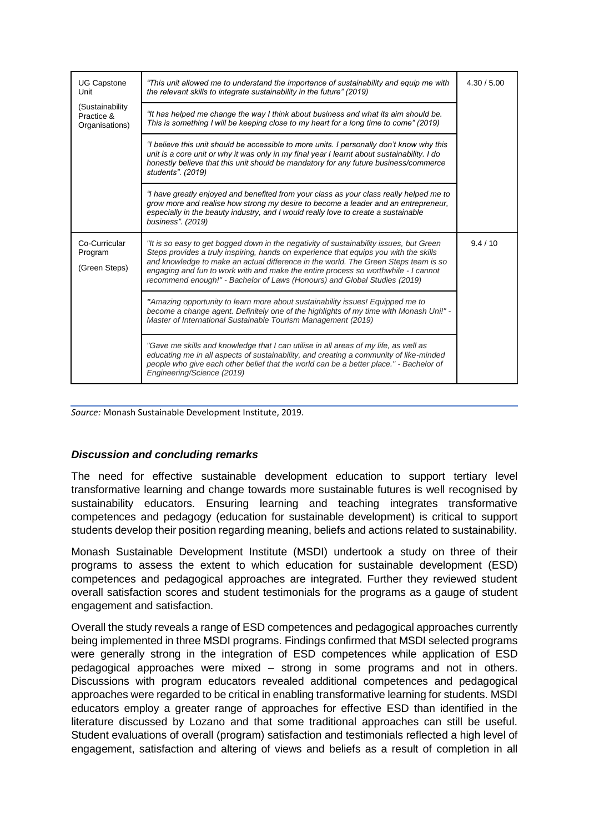| <b>UG Capstone</b><br>Unit<br>(Sustainability)<br>Practice &<br>Organisations) | "This unit allowed me to understand the importance of sustainability and equip me with<br>the relevant skills to integrate sustainability in the future" (2019)                                                                                                                                                                                                                                                                            | 4.30 / 5.00 |
|--------------------------------------------------------------------------------|--------------------------------------------------------------------------------------------------------------------------------------------------------------------------------------------------------------------------------------------------------------------------------------------------------------------------------------------------------------------------------------------------------------------------------------------|-------------|
|                                                                                | "It has helped me change the way I think about business and what its aim should be.<br>This is something I will be keeping close to my heart for a long time to come" (2019)                                                                                                                                                                                                                                                               |             |
|                                                                                | "I believe this unit should be accessible to more units. I personally don't know why this<br>unit is a core unit or why it was only in my final year I learnt about sustainability. I do<br>honestly believe that this unit should be mandatory for any future business/commerce<br>students". (2019)                                                                                                                                      |             |
|                                                                                | "I have greatly enjoyed and benefited from your class as your class really helped me to<br>grow more and realise how strong my desire to become a leader and an entrepreneur,<br>especially in the beauty industry, and I would really love to create a sustainable<br>business". (2019)                                                                                                                                                   |             |
| Co-Curricular<br>Program<br>(Green Steps)                                      | "It is so easy to get bogged down in the negativity of sustainability issues, but Green<br>Steps provides a truly inspiring, hands on experience that equips you with the skills<br>and knowledge to make an actual difference in the world. The Green Steps team is so<br>engaging and fun to work with and make the entire process so worthwhile - I cannot<br>recommend enough!" - Bachelor of Laws (Honours) and Global Studies (2019) | 9.4/10      |
|                                                                                | "Amazing opportunity to learn more about sustainability issues! Equipped me to<br>become a change agent. Definitely one of the highlights of my time with Monash Uni!" -<br>Master of International Sustainable Tourism Management (2019)                                                                                                                                                                                                  |             |
|                                                                                | "Gave me skills and knowledge that I can utilise in all areas of my life, as well as<br>educating me in all aspects of sustainability, and creating a community of like-minded<br>people who give each other belief that the world can be a better place." - Bachelor of<br>Engineering/Science (2019)                                                                                                                                     |             |

*Source:* Monash Sustainable Development Institute, 2019.

## *Discussion and concluding remarks*

The need for effective sustainable development education to support tertiary level transformative learning and change towards more sustainable futures is well recognised by sustainability educators. Ensuring learning and teaching integrates transformative competences and pedagogy (education for sustainable development) is critical to support students develop their position regarding meaning, beliefs and actions related to sustainability.

Monash Sustainable Development Institute (MSDI) undertook a study on three of their programs to assess the extent to which education for sustainable development (ESD) competences and pedagogical approaches are integrated. Further they reviewed student overall satisfaction scores and student testimonials for the programs as a gauge of student engagement and satisfaction.

Overall the study reveals a range of ESD competences and pedagogical approaches currently being implemented in three MSDI programs. Findings confirmed that MSDI selected programs were generally strong in the integration of ESD competences while application of ESD pedagogical approaches were mixed – strong in some programs and not in others. Discussions with program educators revealed additional competences and pedagogical approaches were regarded to be critical in enabling transformative learning for students. MSDI educators employ a greater range of approaches for effective ESD than identified in the literature discussed by Lozano and that some traditional approaches can still be useful. Student evaluations of overall (program) satisfaction and testimonials reflected a high level of engagement, satisfaction and altering of views and beliefs as a result of completion in all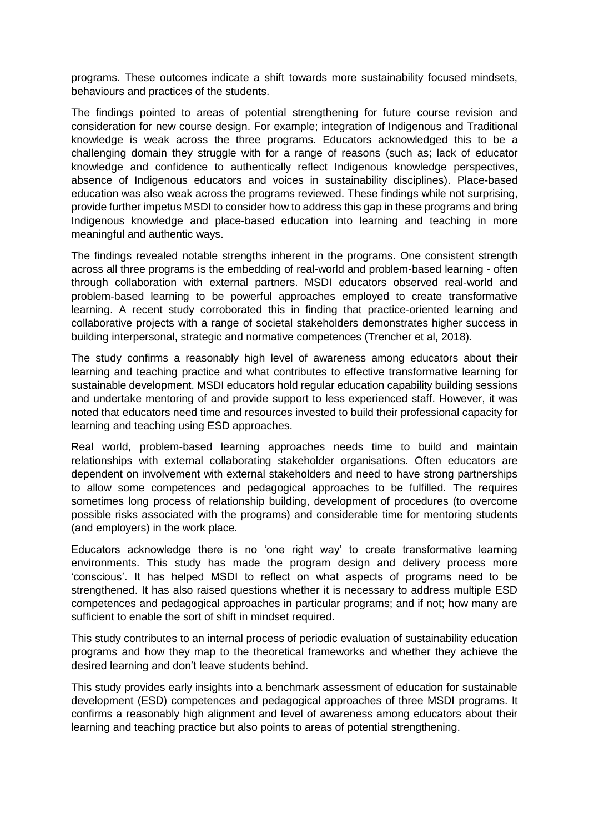programs. These outcomes indicate a shift towards more sustainability focused mindsets, behaviours and practices of the students.

The findings pointed to areas of potential strengthening for future course revision and consideration for new course design. For example; integration of Indigenous and Traditional knowledge is weak across the three programs. Educators acknowledged this to be a challenging domain they struggle with for a range of reasons (such as; lack of educator knowledge and confidence to authentically reflect Indigenous knowledge perspectives, absence of Indigenous educators and voices in sustainability disciplines). Place-based education was also weak across the programs reviewed. These findings while not surprising, provide further impetus MSDI to consider how to address this gap in these programs and bring Indigenous knowledge and place-based education into learning and teaching in more meaningful and authentic ways.

The findings revealed notable strengths inherent in the programs. One consistent strength across all three programs is the embedding of real-world and problem-based learning - often through collaboration with external partners. MSDI educators observed real-world and problem-based learning to be powerful approaches employed to create transformative learning. A recent study corroborated this in finding that practice-oriented learning and collaborative projects with a range of societal stakeholders demonstrates higher success in building interpersonal, strategic and normative competences (Trencher et al, 2018).

The study confirms a reasonably high level of awareness among educators about their learning and teaching practice and what contributes to effective transformative learning for sustainable development. MSDI educators hold regular education capability building sessions and undertake mentoring of and provide support to less experienced staff. However, it was noted that educators need time and resources invested to build their professional capacity for learning and teaching using ESD approaches.

Real world, problem-based learning approaches needs time to build and maintain relationships with external collaborating stakeholder organisations. Often educators are dependent on involvement with external stakeholders and need to have strong partnerships to allow some competences and pedagogical approaches to be fulfilled. The requires sometimes long process of relationship building, development of procedures (to overcome possible risks associated with the programs) and considerable time for mentoring students (and employers) in the work place.

Educators acknowledge there is no 'one right way' to create transformative learning environments. This study has made the program design and delivery process more 'conscious'. It has helped MSDI to reflect on what aspects of programs need to be strengthened. It has also raised questions whether it is necessary to address multiple ESD competences and pedagogical approaches in particular programs; and if not; how many are sufficient to enable the sort of shift in mindset required.

This study contributes to an internal process of periodic evaluation of sustainability education programs and how they map to the theoretical frameworks and whether they achieve the desired learning and don't leave students behind.

This study provides early insights into a benchmark assessment of education for sustainable development (ESD) competences and pedagogical approaches of three MSDI programs. It confirms a reasonably high alignment and level of awareness among educators about their learning and teaching practice but also points to areas of potential strengthening.